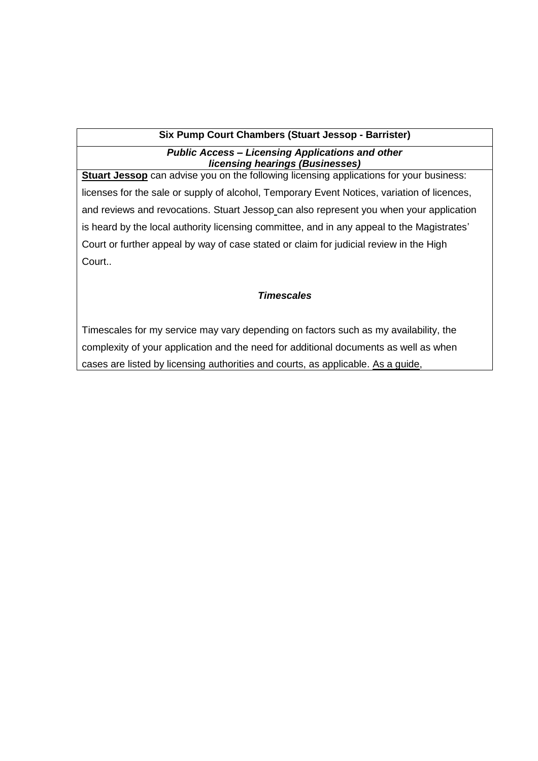## **Six Pump Court Chambers (Stuart Jessop - Barrister)**

## *Public Access – Licensing Applications and other licensing hearings (Businesses)*

**Stuart Jessop** can advise you on the following licensing applications for your business: licenses for the sale or supply of alcohol, Temporary Event Notices, variation of licences, and reviews and revocations. Stuart Jessop can also represent you when your application is heard by the local authority licensing committee, and in any appeal to the Magistrates' Court or further appeal by way of case stated or claim for judicial review in the High Court..

## *Timescales*

Timescales for my service may vary depending on factors such as my availability, the complexity of your application and the need for additional documents as well as when cases are listed by licensing authorities and courts, as applicable. As a guide,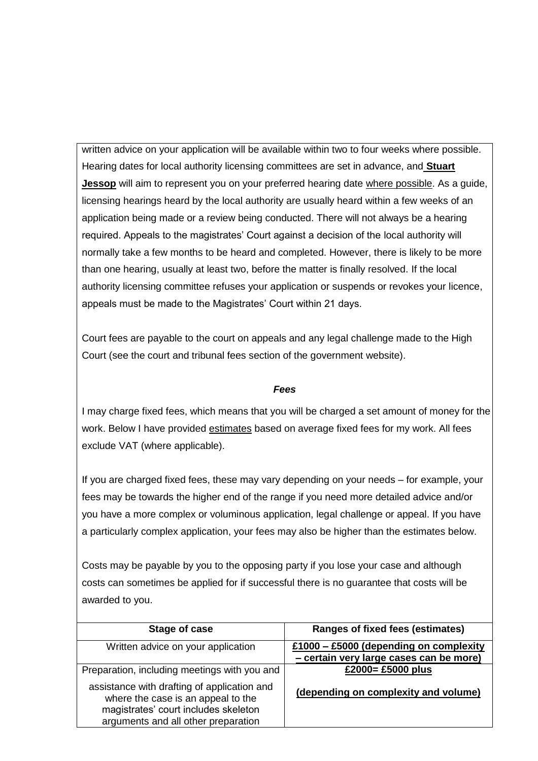written advice on your application will be available within two to four weeks where possible. Hearing dates for local authority licensing committees are set in advance, and **Stuart Jessop** will aim to represent you on your preferred hearing date where possible. As a guide, licensing hearings heard by the local authority are usually heard within a few weeks of an application being made or a review being conducted. There will not always be a hearing required. Appeals to the magistrates' Court against a decision of the local authority will normally take a few months to be heard and completed. However, there is likely to be more than one hearing, usually at least two, before the matter is finally resolved. If the local authority licensing committee refuses your application or suspends or revokes your licence, appeals must be made to the Magistrates' Court within 21 days.

Court fees are payable to the court on appeals and any legal challenge made to the High Court (see the court and tribunal fees section of the government website).

## *Fees*

I may charge fixed fees, which means that you will be charged a set amount of money for the work. Below I have provided estimates based on average fixed fees for my work. All fees exclude VAT (where applicable).

If you are charged fixed fees, these may vary depending on your needs – for example, your fees may be towards the higher end of the range if you need more detailed advice and/or you have a more complex or voluminous application, legal challenge or appeal. If you have a particularly complex application, your fees may also be higher than the estimates below.

Costs may be payable by you to the opposing party if you lose your case and although costs can sometimes be applied for if successful there is no guarantee that costs will be awarded to you.

| Stage of case                                                                                                                                                    | <b>Ranges of fixed fees (estimates)</b> |
|------------------------------------------------------------------------------------------------------------------------------------------------------------------|-----------------------------------------|
| Written advice on your application                                                                                                                               | £1000 - £5000 (depending on complexity  |
|                                                                                                                                                                  | - certain very large cases can be more) |
| Preparation, including meetings with you and                                                                                                                     | £2000= £5000 plus                       |
| assistance with drafting of application and<br>where the case is an appeal to the<br>magistrates' court includes skeleton<br>arguments and all other preparation | (depending on complexity and volume)    |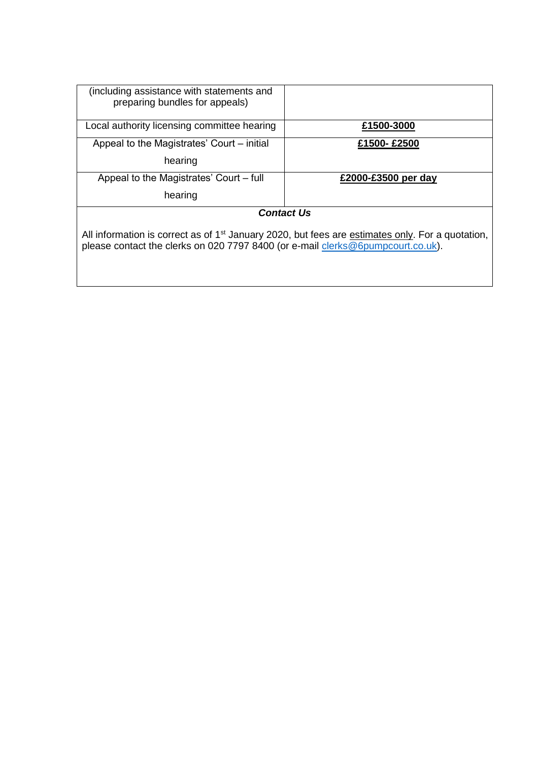| (including assistance with statements and<br>preparing bundles for appeals)                                                                                                                     |                     |  |
|-------------------------------------------------------------------------------------------------------------------------------------------------------------------------------------------------|---------------------|--|
| Local authority licensing committee hearing                                                                                                                                                     | £1500-3000          |  |
| Appeal to the Magistrates' Court – initial                                                                                                                                                      | £1500-£2500         |  |
| hearing                                                                                                                                                                                         |                     |  |
| Appeal to the Magistrates' Court – full                                                                                                                                                         | £2000-£3500 per day |  |
| hearing                                                                                                                                                                                         |                     |  |
| <b>Contact Us</b>                                                                                                                                                                               |                     |  |
| All information is correct as of 1 <sup>st</sup> January 2020, but fees are estimates only. For a quotation,<br>please contact the clerks on 020 7797 8400 (or e-mail clerks@6pumpcourt.co.uk). |                     |  |